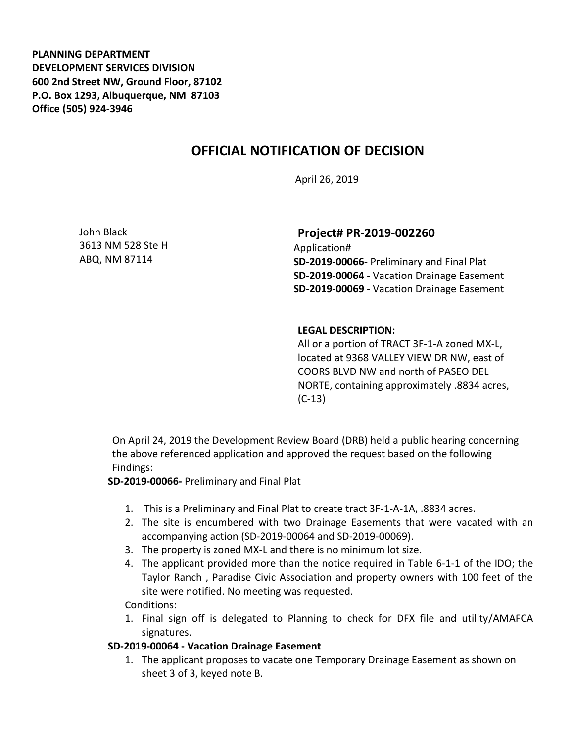**PLANNING DEPARTMENT DEVELOPMENT SERVICES DIVISION 600 2nd Street NW, Ground Floor, 87102 P.O. Box 1293, Albuquerque, NM 87103 Office (505) 924-3946** 

# **OFFICIAL NOTIFICATION OF DECISION**

April 26, 2019

John Black 3613 NM 528 Ste H ABQ, NM 87114

## **Project# PR-2019-002260**

Application# **SD-2019-00066-** Preliminary and Final Plat **SD-2019-00064** - Vacation Drainage Easement **SD-2019-00069** - Vacation Drainage Easement

#### **LEGAL DESCRIPTION:**

All or a portion of TRACT 3F-1-A zoned MX-L, located at 9368 VALLEY VIEW DR NW, east of COORS BLVD NW and north of PASEO DEL NORTE, containing approximately .8834 acres, (C-13)

On April 24, 2019 the Development Review Board (DRB) held a public hearing concerning the above referenced application and approved the request based on the following Findings:

**SD-2019-00066-** Preliminary and Final Plat

- 1. This is a Preliminary and Final Plat to create tract 3F-1-A-1A, .8834 acres.
- 2. The site is encumbered with two Drainage Easements that were vacated with an accompanying action (SD-2019-00064 and SD-2019-00069).
- 3. The property is zoned MX-L and there is no minimum lot size.
- 4. The applicant provided more than the notice required in Table 6-1-1 of the IDO; the Taylor Ranch , Paradise Civic Association and property owners with 100 feet of the site were notified. No meeting was requested.

#### Conditions:

1. Final sign off is delegated to Planning to check for DFX file and utility/AMAFCA signatures.

### **SD-2019-00064 - Vacation Drainage Easement**

1. The applicant proposes to vacate one Temporary Drainage Easement as shown on sheet 3 of 3, keyed note B.